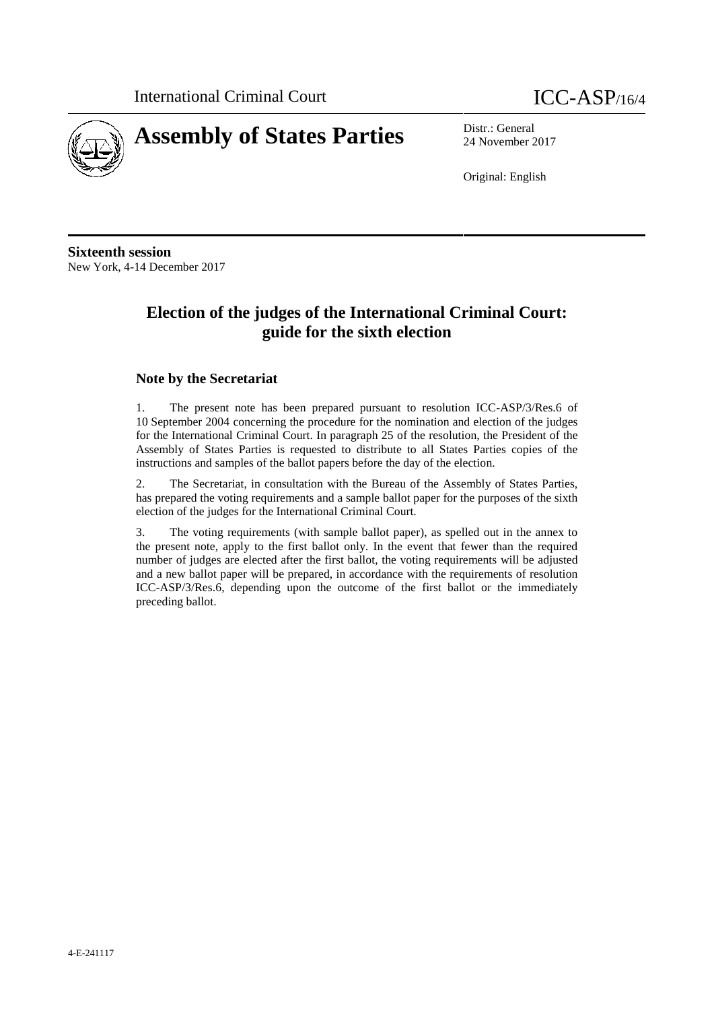

24 November 2017

Original: English

**Sixteenth session** New York, 4-14 December 2017

### **Election of the judges of the International Criminal Court: guide for the sixth election**

#### **Note by the Secretariat**

1. The present note has been prepared pursuant to resolution ICC-ASP/3/Res.6 of 10 September 2004 concerning the procedure for the nomination and election of the judges for the International Criminal Court. In paragraph 25 of the resolution, the President of the Assembly of States Parties is requested to distribute to all States Parties copies of the instructions and samples of the ballot papers before the day of the election.

2. The Secretariat, in consultation with the Bureau of the Assembly of States Parties, has prepared the voting requirements and a sample ballot paper for the purposes of the sixth election of the judges for the International Criminal Court.

3. The voting requirements (with sample ballot paper), as spelled out in the annex to the present note, apply to the first ballot only. In the event that fewer than the required number of judges are elected after the first ballot, the voting requirements will be adjusted and a new ballot paper will be prepared, in accordance with the requirements of resolution ICC-ASP/3/Res.6, depending upon the outcome of the first ballot or the immediately preceding ballot.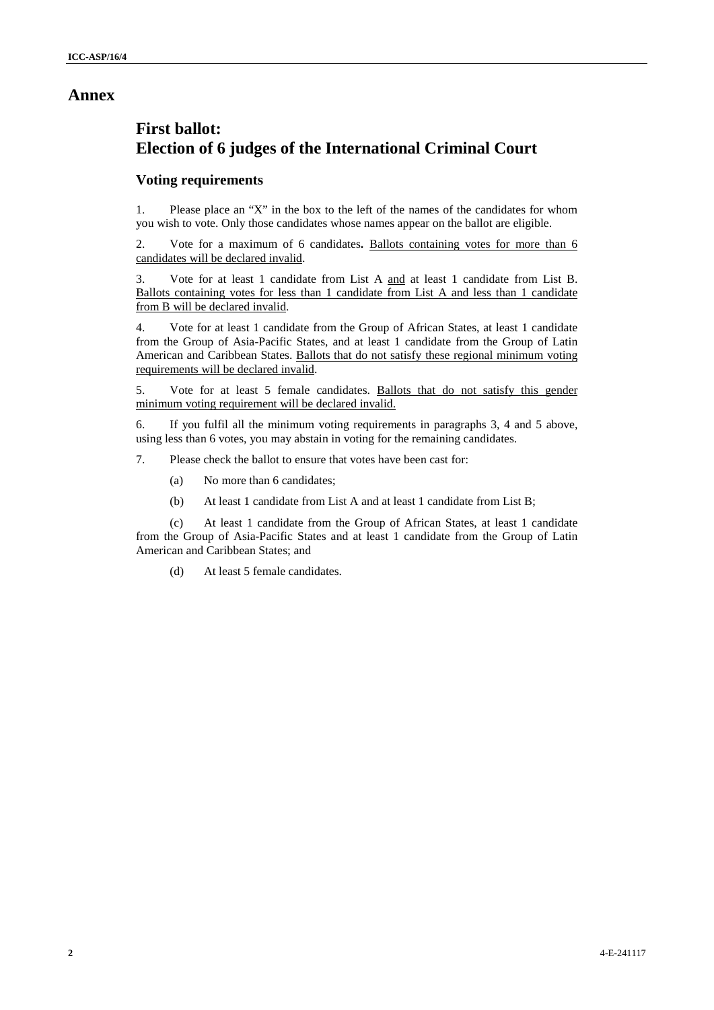### **Annex**

# **First ballot: Election of 6 judges of the International Criminal Court**

#### **Voting requirements**

1. Please place an "X" in the box to the left of the names of the candidates for whom you wish to vote. Only those candidates whose names appear on the ballot are eligible.

2. Vote for a maximum of 6 candidates**.** Ballots containing votes for more than 6 candidates will be declared invalid.

3. Vote for at least 1 candidate from List A and at least 1 candidate from List B. Ballots containing votes for less than 1 candidate from List A and less than 1 candidate from B will be declared invalid.

4. Vote for at least 1 candidate from the Group of African States, at least 1 candidate from the Group of Asia-Pacific States, and at least 1 candidate from the Group of Latin American and Caribbean States. Ballots that do not satisfy these regional minimum voting requirements will be declared invalid.

5. Vote for at least 5 female candidates. Ballots that do not satisfy this gender minimum voting requirement will be declared invalid.

6. If you fulfil all the minimum voting requirements in paragraphs 3, 4 and 5 above, using less than 6 votes, you may abstain in voting for the remaining candidates.

7. Please check the ballot to ensure that votes have been cast for:

- (a) No more than 6 candidates;
- (b) At least 1 candidate from List A and at least 1 candidate from List B;

(c) At least 1 candidate from the Group of African States, at least 1 candidate from the Group of Asia-Pacific States and at least 1 candidate from the Group of Latin American and Caribbean States; and

(d) At least 5 female candidates.